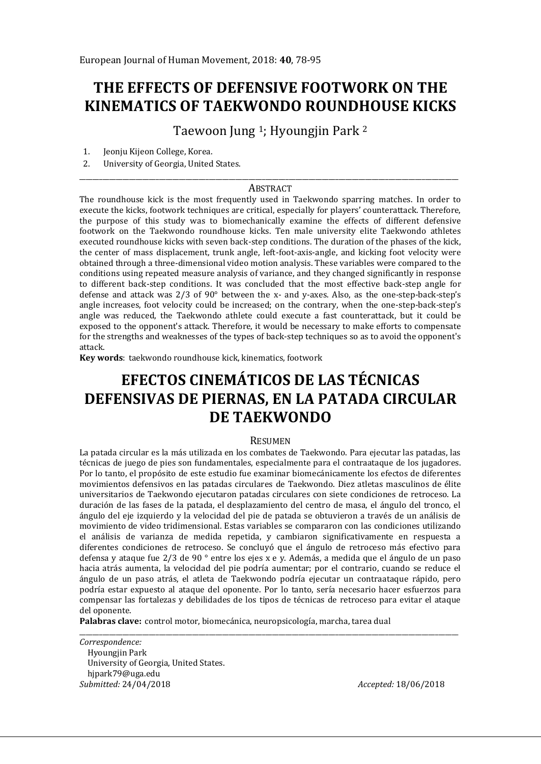# **THE EFFECTS OF DEFENSIVE FOOTWORK ON THE KINEMATICS OF TAEKWONDO ROUNDHOUSE KICKS**

Taewoon Jung <sup>1</sup>; Hyoungjin Park <sup>2</sup>

- 1. Jeonju Kijeon College, Korea.
- 2. University of Georgia, United States.

#### \_\_\_\_\_\_\_\_\_\_\_\_\_\_\_\_\_\_\_\_\_\_\_\_\_\_\_\_\_\_\_\_\_\_\_\_\_\_\_\_\_\_\_\_\_\_\_\_\_\_\_\_\_\_\_\_\_\_\_\_\_\_\_\_\_\_\_\_\_\_\_\_\_\_\_\_\_\_\_\_\_\_\_\_\_\_\_\_\_\_\_\_\_\_\_\_\_\_\_\_\_\_\_\_\_\_\_\_\_\_\_\_\_\_ **ABSTRACT**

The roundhouse kick is the most frequently used in Taekwondo sparring matches. In order to execute the kicks, footwork techniques are critical, especially for players' counterattack. Therefore, the purpose of this study was to biomechanically examine the effects of different defensive footwork on the Taekwondo roundhouse kicks. Ten male university elite Taekwondo athletes executed roundhouse kicks with seven back-step conditions. The duration of the phases of the kick, the center of mass displacement, trunk angle, left-foot-axis-angle, and kicking foot velocity were obtained through a three-dimensional video motion analysis. These variables were compared to the conditions using repeated measure analysis of variance, and they changed significantly in response to different back-step conditions. It was concluded that the most effective back-step angle for defense and attack was 2/3 of 90° between the x- and y-axes. Also, as the one-step-back-step's angle increases, foot velocity could be increased; on the contrary, when the one-step-back-step's angle was reduced, the Taekwondo athlete could execute a fast counterattack, but it could be exposed to the opponent's attack. Therefore, it would be necessary to make efforts to compensate for the strengths and weaknesses of the types of back-step techniques so as to avoid the opponent's attack.

**Key words**: taekwondo roundhouse kick, kinematics, footwork

# **EFECTOS CINEMÁTICOS DE LAS TÉCNICAS DEFENSIVAS DE PIERNAS, EN LA PATADA CIRCULAR DE TAEKWONDO**

#### **RESUMEN**

La patada circular es la más utilizada en los combates de Taekwondo. Para ejecutar las patadas, las técnicas de juego de pies son fundamentales, especialmente para el contraataque de los jugadores. Por lo tanto, el propósito de este estudio fue examinar biomecánicamente los efectos de diferentes movimientos defensivos en las patadas circulares de Taekwondo. Diez atletas masculinos de élite universitarios de Taekwondo ejecutaron patadas circulares con siete condiciones de retroceso. La duración de las fases de la patada, el desplazamiento del centro de masa, el ángulo del tronco, el ángulo del eje izquierdo y la velocidad del pie de patada se obtuvieron a través de un análisis de movimiento de video tridimensional. Estas variables se compararon con las condiciones utilizando el análisis de varianza de medida repetida, y cambiaron significativamente en respuesta a diferentes condiciones de retroceso. Se concluyó que el ángulo de retroceso más efectivo para defensa y ataque fue 2/3 de 90 ° entre los ejes x e y. Además, a medida que el ángulo de un paso hacia atrás aumenta, la velocidad del pie podría aumentar; por el contrario, cuando se reduce el ángulo de un paso atrás, el atleta de Taekwondo podría ejecutar un contraataque rápido, pero podría estar expuesto al ataque del oponente. Por lo tanto, sería necesario hacer esfuerzos para compensar las fortalezas y debilidades de los tipos de técnicas de retroceso para evitar el ataque del oponente.

\_\_\_\_\_\_\_\_\_\_\_\_\_\_\_\_\_\_\_\_\_\_\_\_\_\_\_\_\_\_\_\_\_\_\_\_\_\_\_\_\_\_\_\_\_\_\_\_\_\_\_\_\_\_\_\_\_\_\_\_\_\_\_\_\_\_\_\_\_\_\_\_\_\_\_\_\_\_\_\_\_\_\_\_\_\_\_\_\_\_\_\_\_\_\_\_\_\_\_\_\_\_\_\_\_\_\_\_\_\_\_\_\_\_

**Palabras clave:** control motor, biomecánica, neuropsicología, marcha, tarea dual

*Correspondence:*  Hyoungjin Park University of Georgia, United States. hjpark79@uga.edu *Submitted:* 24/04/2018 *Accepted:* 18/06/2018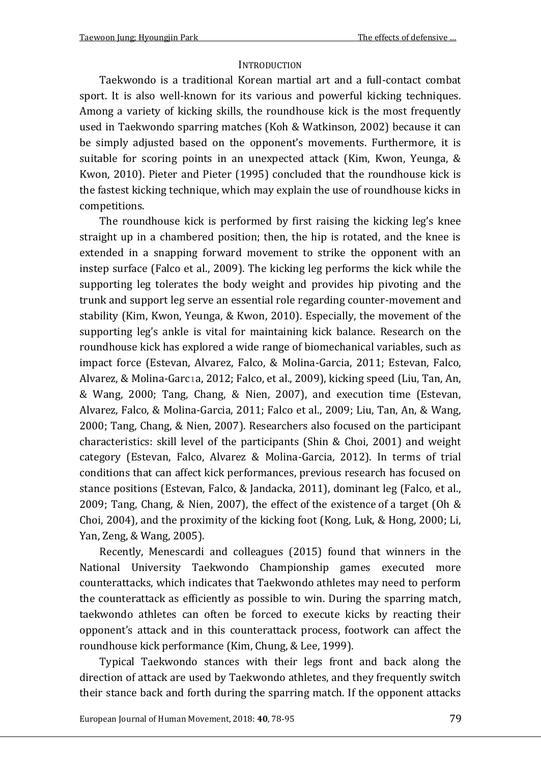#### **INTRODUCTION**

Taekwondo is a traditional Korean martial art and a full-contact combat sport. It is also well-known for its various and powerful kicking techniques. Among a variety of kicking skills, the roundhouse kick is the most frequently used in Taekwondo sparring matches (Koh & Watkinson, 2002) because it can be simply adjusted based on the opponent's movements. Furthermore, it is suitable for scoring points in an unexpected attack (Kim, Kwon, Yeunga, & Kwon, 2010). Pieter and Pieter (1995) concluded that the roundhouse kick is the fastest kicking technique, which may explain the use of roundhouse kicks in competitions.

The roundhouse kick is performed by first raising the kicking leg's knee straight up in a chambered position; then, the hip is rotated, and the knee is extended in a snapping forward movement to strike the opponent with an instep surface (Falco et al., 2009). The kicking leg performs the kick while the supporting leg tolerates the body weight and provides hip pivoting and the trunk and support leg serve an essential role regarding counter-movement and stability (Kim, Kwon, Yeunga, & Kwon, 2010). Especially, the movement of the supporting leg's ankle is vital for maintaining kick balance. Research on the roundhouse kick has explored a wide range of biomechanical variables, such as impact force (Estevan, Alvarez, Falco, & Molina-Garcia, 2011; Estevan, Falco, Alvarez, & Molina-Garcıa, 2012; Falco, et al., 2009), kicking speed (Liu, Tan, An, & Wang, 2000; Tang, Chang, & Nien, 2007), and execution time (Estevan, Alvarez, Falco, & Molina-Garcia, 2011; Falco et al., 2009; Liu, Tan, An, & Wang, 2000; Tang, Chang, & Nien, 2007). Researchers also focused on the participant characteristics: skill level of the participants (Shin & Choi, 2001) and weight category (Estevan, Falco, Alvarez & Molina-Garcia, 2012). In terms of trial conditions that can affect kick performances, previous research has focused on stance positions (Estevan, Falco, & Jandacka, 2011), dominant leg (Falco, et al., 2009; Tang, Chang, & Nien, 2007), the effect of the existence of a target (Oh & Choi, 2004), and the proximity of the kicking foot (Kong, Luk, & Hong, 2000; Li, Yan, Zeng, & Wang, 2005).

Recently, Menescardi and colleagues (2015) found that winners in the National University Taekwondo Championship games executed more counterattacks, which indicates that Taekwondo athletes may need to perform the counterattack as efficiently as possible to win. During the sparring match, taekwondo athletes can often be forced to execute kicks by reacting their opponent's attack and in this counterattack process, footwork can affect the roundhouse kick performance (Kim, Chung, & Lee, 1999).

Typical Taekwondo stances with their legs front and back along the direction of attack are used by Taekwondo athletes, and they frequently switch their stance back and forth during the sparring match. If the opponent attacks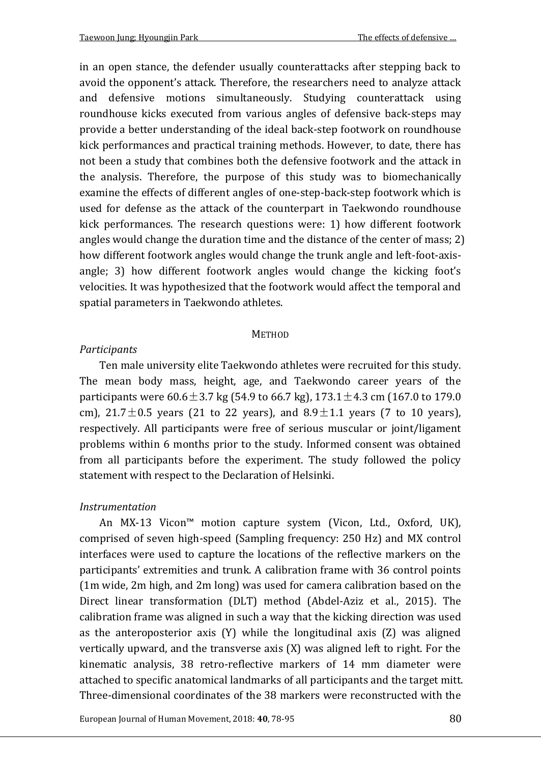in an open stance, the defender usually counterattacks after stepping back to avoid the opponent's attack. Therefore, the researchers need to analyze attack and defensive motions simultaneously. Studying counterattack using roundhouse kicks executed from various angles of defensive back-steps may provide a better understanding of the ideal back-step footwork on roundhouse kick performances and practical training methods. However, to date, there has not been a study that combines both the defensive footwork and the attack in the analysis. Therefore, the purpose of this study was to biomechanically examine the effects of different angles of one-step-back-step footwork which is used for defense as the attack of the counterpart in Taekwondo roundhouse kick performances. The research questions were: 1) how different footwork angles would change the duration time and the distance of the center of mass; 2) how different footwork angles would change the trunk angle and left-foot-axisangle; 3) how different footwork angles would change the kicking foot's velocities. It was hypothesized that the footwork would affect the temporal and spatial parameters in Taekwondo athletes.

#### **METHOD**

## *Participants*

Ten male university elite Taekwondo athletes were recruited for this study. The mean body mass, height, age, and Taekwondo career years of the participants were  $60.6 \pm 3.7$  kg (54.9 to 66.7 kg),  $173.1 \pm 4.3$  cm (167.0 to 179.0 cm),  $21.7 \pm 0.5$  years (21 to 22 years), and  $8.9 \pm 1.1$  years (7 to 10 years), respectively. All participants were free of serious muscular or joint/ligament problems within 6 months prior to the study. Informed consent was obtained from all participants before the experiment. The study followed the policy statement with respect to the Declaration of Helsinki.

## *Instrumentation*

An MX-13 Vicon™ motion capture system (Vicon, Ltd., Oxford, UK), comprised of seven high-speed (Sampling frequency: 250 Hz) and MX control interfaces were used to capture the locations of the reflective markers on the participants' extremities and trunk. A calibration frame with 36 control points (1m wide, 2m high, and 2m long) was used for camera calibration based on the Direct linear transformation (DLT) method (Abdel-Aziz et al., 2015). The calibration frame was aligned in such a way that the kicking direction was used as the anteroposterior axis (Y) while the longitudinal axis (Z) was aligned vertically upward, and the transverse axis (X) was aligned left to right. For the kinematic analysis, 38 retro-reflective markers of 14 mm diameter were attached to specific anatomical landmarks of all participants and the target mitt. Three-dimensional coordinates of the 38 markers were reconstructed with the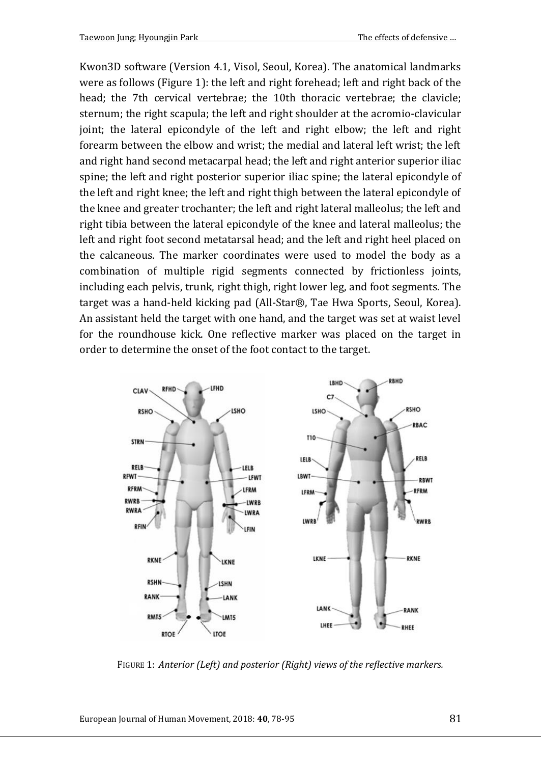Kwon3D software (Version 4.1, Visol, Seoul, Korea). The anatomical landmarks were as follows (Figure 1): the left and right forehead; left and right back of the head; the 7th cervical vertebrae; the 10th thoracic vertebrae; the clavicle; sternum; the right scapula; the left and right shoulder at the acromio-clavicular joint; the lateral epicondyle of the left and right elbow; the left and right forearm between the elbow and wrist; the medial and lateral left wrist; the left and right hand second metacarpal head; the left and right anterior superior iliac spine; the left and right posterior superior iliac spine; the lateral epicondyle of the left and right knee; the left and right thigh between the lateral epicondyle of the knee and greater trochanter; the left and right lateral malleolus; the left and right tibia between the lateral epicondyle of the knee and lateral malleolus; the left and right foot second metatarsal head; and the left and right heel placed on the calcaneous. The marker coordinates were used to model the body as a combination of multiple rigid segments connected by frictionless joints, including each pelvis, trunk, right thigh, right lower leg, and foot segments. The target was a hand-held kicking pad (All-Star®, Tae Hwa Sports, Seoul, Korea). An assistant held the target with one hand, and the target was set at waist level for the roundhouse kick. One reflective marker was placed on the target in order to determine the onset of the foot contact to the target.



FIGURE 1: *Anterior (Left) and posterior (Right) views of the reflective markers.*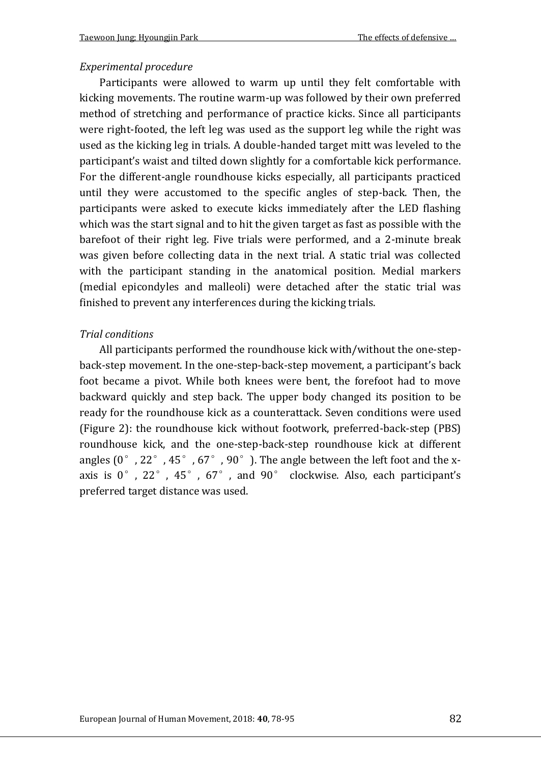#### *Experimental procedure*

Participants were allowed to warm up until they felt comfortable with kicking movements. The routine warm-up was followed by their own preferred method of stretching and performance of practice kicks. Since all participants were right-footed, the left leg was used as the support leg while the right was used as the kicking leg in trials. A double-handed target mitt was leveled to the participant's waist and tilted down slightly for a comfortable kick performance. For the different-angle roundhouse kicks especially, all participants practiced until they were accustomed to the specific angles of step-back. Then, the participants were asked to execute kicks immediately after the LED flashing which was the start signal and to hit the given target as fast as possible with the barefoot of their right leg. Five trials were performed, and a 2-minute break was given before collecting data in the next trial. A static trial was collected with the participant standing in the anatomical position. Medial markers (medial epicondyles and malleoli) were detached after the static trial was finished to prevent any interferences during the kicking trials.

#### *Trial conditions*

All participants performed the roundhouse kick with/without the one-stepback-step movement. In the one-step-back-step movement, a participant's back foot became a pivot. While both knees were bent, the forefoot had to move backward quickly and step back. The upper body changed its position to be ready for the roundhouse kick as a counterattack. Seven conditions were used (Figure 2): the roundhouse kick without footwork, preferred-back-step (PBS) roundhouse kick, and the one-step-back-step roundhouse kick at different angles  $(0^{\circ}$ , 22 $^{\circ}$ , 45 $^{\circ}$ , 67 $^{\circ}$ , 90 $^{\circ}$ ). The angle between the left foot and the xaxis is  $0^\circ$ ,  $22^\circ$ ,  $45^\circ$ ,  $67^\circ$ , and  $90^\circ$  clockwise. Also, each participant's preferred target distance was used.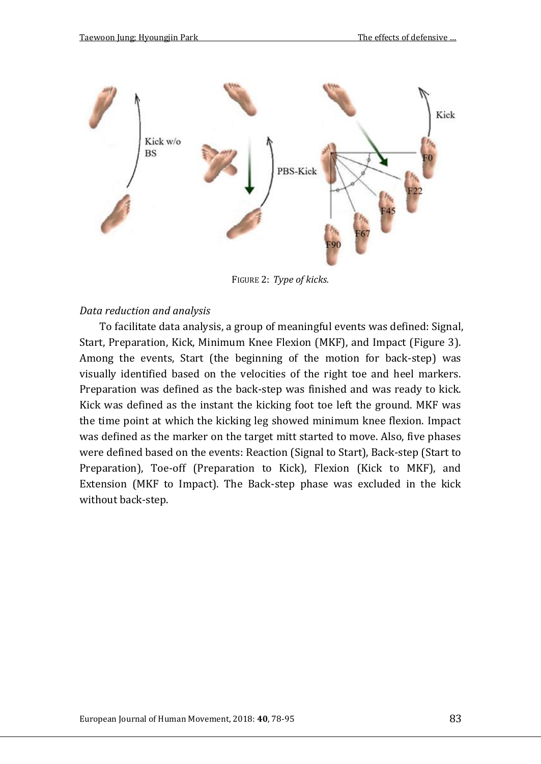

FIGURE 2: *Type of kicks.*

#### *Data reduction and analysis*

To facilitate data analysis, a group of meaningful events was defined: Signal, Start, Preparation, Kick, Minimum Knee Flexion (MKF), and Impact (Figure 3). Among the events, Start (the beginning of the motion for back-step) was visually identified based on the velocities of the right toe and heel markers. Preparation was defined as the back-step was finished and was ready to kick. Kick was defined as the instant the kicking foot toe left the ground. MKF was the time point at which the kicking leg showed minimum knee flexion. Impact was defined as the marker on the target mitt started to move. Also, five phases were defined based on the events: Reaction (Signal to Start), Back-step (Start to Preparation), Toe-off (Preparation to Kick), Flexion (Kick to MKF), and Extension (MKF to Impact). The Back-step phase was excluded in the kick without back-step.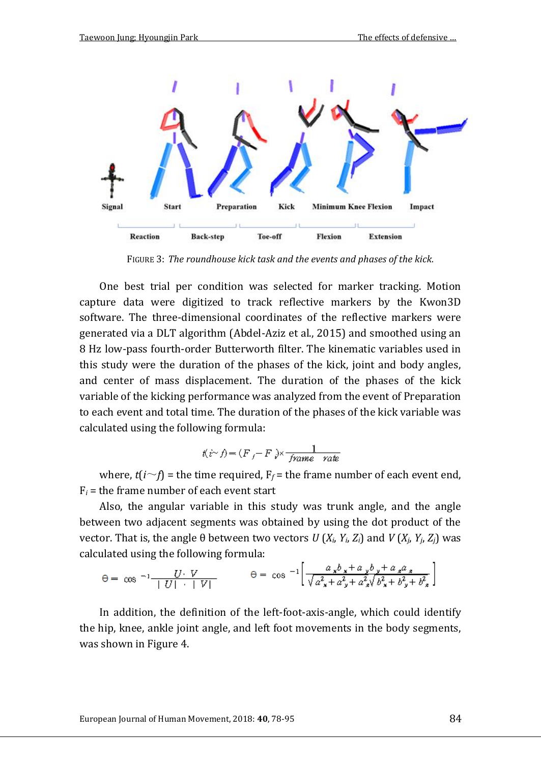

FIGURE 3: *The roundhouse kick task and the events and phases of the kick.*

One best trial per condition was selected for marker tracking. Motion capture data were digitized to track reflective markers by the Kwon3D software. The three-dimensional coordinates of the reflective markers were generated via a DLT algorithm (Abdel-Aziz et al., 2015) and smoothed using an 8 Hz low-pass fourth-order Butterworth filter. The kinematic variables used in this study were the duration of the phases of the kick, joint and body angles, and center of mass displacement. The duration of the phases of the kick variable of the kicking performance was analyzed from the event of Preparation to each event and total time. The duration of the phases of the kick variable was calculated using the following formula:

$$
t(i \sim f) = (F_f - F_i) \times \frac{1}{\text{frame rate}}
$$

where,  $t(i \sim f)$  = the time required,  $F_f$  = the frame number of each event end,  $F_i$  = the frame number of each event start

Also, the angular variable in this study was trunk angle, and the angle between two adjacent segments was obtained by using the dot product of the vector. That is, the angle θ between two vectors *U* (*Xi*, *Yi*, *Zi*) and *V* (*Xj*, *Yj*, *Zj*) was calculated using the following formula:

$$
\Theta = \cos^{-1}\frac{U \cdot V}{|U| + |V|} \qquad \qquad \Theta = \cos^{-1}\left[\frac{a_x b_x + a_y b_y + a_x a_x}{\sqrt{a_x^2 + a_y^2 + a_x^2} \sqrt{b_x^2 + b_y^2 + b_x^2}}\right]
$$

In addition, the definition of the left-foot-axis-angle, which could identify the hip, knee, ankle joint angle, and left foot movements in the body segments, was shown in Figure 4.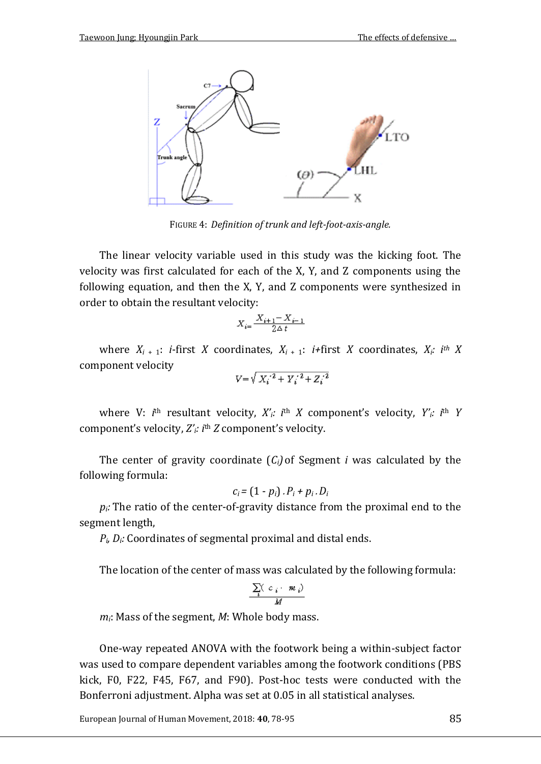

FIGURE 4: *Definition of trunk and left-foot-axis-angle.*

The linear velocity variable used in this study was the kicking foot. The velocity was first calculated for each of the X, Y, and Z components using the following equation, and then the X, Y, and Z components were synthesized in order to obtain the resultant velocity:

$$
X_{i\pm}\frac{X_{i\pm1}\!-\!X_{i\pm1}}{2\Delta\,t}
$$

where  $X_i$  + 1: *i*-first *X* coordinates,  $X_{i+1}$ : *i*+first *X* coordinates,  $X_i$ : *i*<sup>th</sup> *X* component velocity 7

$$
V = \sqrt{{X_i}^2 + {Y_i}^2 + {Z_i}^2}
$$

where V: *i*<sup>th</sup> resultant velocity, *X'<sub>i</sub>*: *i*<sup>th</sup> *X* component's velocity, *Y'<sub>i</sub>*: *i*<sup>th</sup> *Y* component's velocity, *Z'i: i* th *Z* component's velocity.

The center of gravity coordinate  $(C_i)$  of Segment *i* was calculated by the following formula:

$$
c_i = (1-p_i) \cdot P_i + p_i \cdot D_i
$$

 $p_i$ *:* The ratio of the center-of-gravity distance from the proximal end to the segment length,

 $P_i$ ,  $D_i$ : Coordinates of segmental proximal and distal ends.

The location of the center of mass was calculated by the following formula:

$$
\frac{\sum\limits_i\bigl(\begin{array}{cc} c_i & m_i\bigr) \\ M \end{array}\bigr)}{M}
$$

*mi*: Mass of the segment, *M*: Whole body mass.

One-way repeated ANOVA with the footwork being a within-subject factor was used to compare dependent variables among the footwork conditions (PBS kick, F0, F22, F45, F67, and F90). Post-hoc tests were conducted with the Bonferroni adjustment. Alpha was set at 0.05 in all statistical analyses.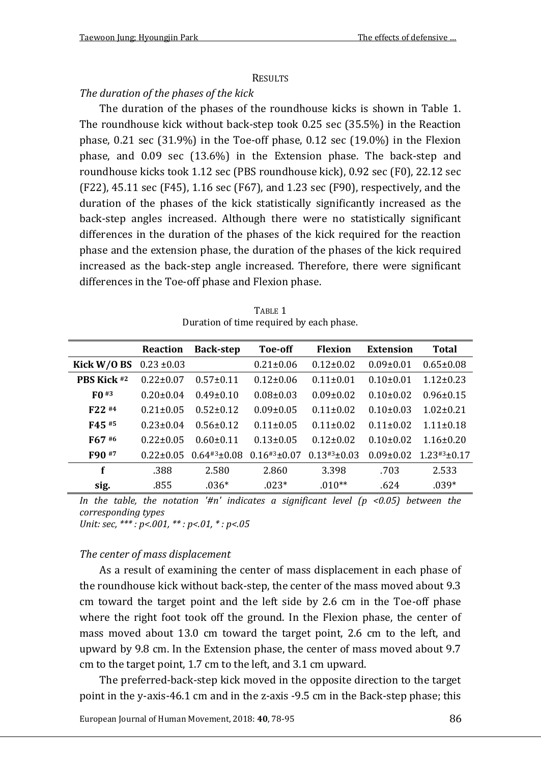#### **RESULTS**

## *The duration of the phases of the kick*

The duration of the phases of the roundhouse kicks is shown in Table 1. The roundhouse kick without back-step took 0.25 sec (35.5%) in the Reaction phase, 0.21 sec (31.9%) in the Toe-off phase, 0.12 sec (19.0%) in the Flexion phase, and 0.09 sec (13.6%) in the Extension phase. The back-step and roundhouse kicks took 1.12 sec (PBS roundhouse kick), 0.92 sec (F0), 22.12 sec (F22), 45.11 sec (F45), 1.16 sec (F67), and 1.23 sec (F90), respectively, and the duration of the phases of the kick statistically significantly increased as the back-step angles increased. Although there were no statistically significant differences in the duration of the phases of the kick required for the reaction phase and the extension phase, the duration of the phases of the kick required increased as the back-step angle increased. Therefore, there were significant differences in the Toe-off phase and Flexion phase.

| TABLE 1                                  |  |
|------------------------------------------|--|
| Duration of time required by each phase. |  |

|               | Reaction        | <b>Back-step</b> | Toe-off                        | Flexion         | <b>Extension</b> | Total           |
|---------------|-----------------|------------------|--------------------------------|-----------------|------------------|-----------------|
| Kick $W/0$ BS | $0.23 \pm 0.03$ |                  | $0.21 \pm 0.06$                | $0.12 \pm 0.02$ | $0.09 \pm 0.01$  | $0.65 \pm 0.08$ |
| PBS Kick #2   | $0.22 \pm 0.07$ | $0.57 \pm 0.11$  | $0.12 \pm 0.06$                | $0.11 \pm 0.01$ | $0.10 \pm 0.01$  | $1.12 \pm 0.23$ |
| FO#3          | $0.20 \pm 0.04$ | $0.49 \pm 0.10$  | $0.08 \pm 0.03$                | $0.09 \pm 0.02$ | $0.10 \pm 0.02$  | $0.96 \pm 0.15$ |
| $F22$ #4      | $0.21 \pm 0.05$ | $0.52 + 0.12$    | $0.09 \pm 0.05$                | $0.11 \pm 0.02$ | $0.10 \pm 0.03$  | $1.02 \pm 0.21$ |
| F45 #5        | $0.23 \pm 0.04$ | $0.56 \pm 0.12$  | $0.11 \pm 0.05$                | $0.11 \pm 0.02$ | $0.11 \pm 0.02$  | $1.11 \pm 0.18$ |
| F67#6         | $0.22 \pm 0.05$ | $0.60 \pm 0.11$  | $0.13 \pm 0.05$                | $0.12 \pm 0.02$ | $0.10 \pm 0.02$  | $1.16 \pm 0.20$ |
| F90 #7        | $0.22 \pm 0.05$ | $0.64*3+0.08$    | $0.16 \text{\texttt{#3+0.07}}$ | $0.13*3+0.03$   | $0.09 \pm 0.02$  | $1.23*3+0.17$   |
| f             | .388            | 2.580            | 2.860                          | 3.398           | .703             | 2.533           |
| sig.          | .855            | $.036*$          | $.023*$                        | $.010**$        | .624             | $.039*$         |

*In the table, the notation '#n' indicates a significant level*  $(p \le 0.05)$  *between the corresponding types Unit: sec, \*\*\* : p<.001, \*\* : p<.01, \* : p<.05*

### *The center of mass displacement*

As a result of examining the center of mass displacement in each phase of the roundhouse kick without back-step, the center of the mass moved about 9.3 cm toward the target point and the left side by 2.6 cm in the Toe-off phase where the right foot took off the ground. In the Flexion phase, the center of mass moved about 13.0 cm toward the target point, 2.6 cm to the left, and upward by 9.8 cm. In the Extension phase, the center of mass moved about 9.7 cm to the target point, 1.7 cm to the left, and 3.1 cm upward.

The preferred-back-step kick moved in the opposite direction to the target point in the y-axis-46.1 cm and in the z-axis -9.5 cm in the Back-step phase; this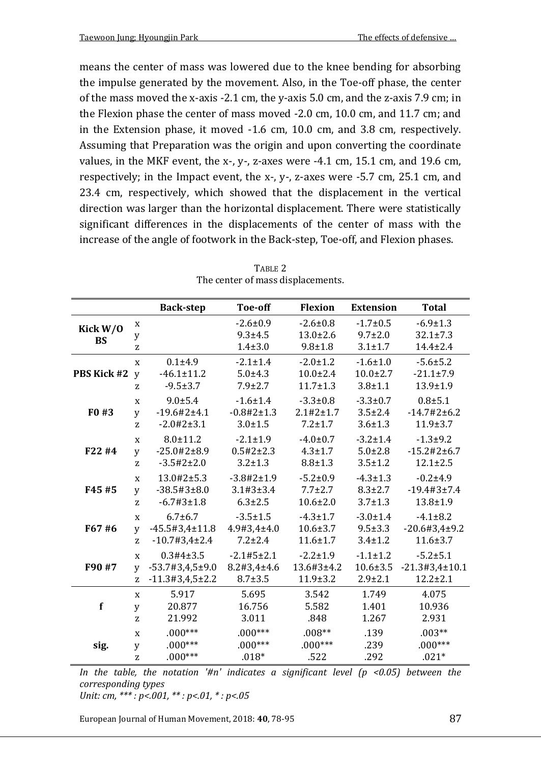means the center of mass was lowered due to the knee bending for absorbing the impulse generated by the movement. Also, in the Toe-off phase, the center of the mass moved the x-axis -2.1 cm, the y-axis 5.0 cm, and the z-axis 7.9 cm; in the Flexion phase the center of mass moved -2.0 cm, 10.0 cm, and 11.7 cm; and in the Extension phase, it moved -1.6 cm, 10.0 cm, and 3.8 cm, respectively. Assuming that Preparation was the origin and upon converting the coordinate values, in the MKF event, the x-, y-, z-axes were -4.1 cm, 15.1 cm, and 19.6 cm, respectively; in the Impact event, the x-, y-, z-axes were -5.7 cm, 25.1 cm, and 23.4 cm, respectively, which showed that the displacement in the vertical direction was larger than the horizontal displacement. There were statistically significant differences in the displacements of the center of mass with the increase of the angle of footwork in the Back-step, Toe-off, and Flexion phases.

|             |              | <b>Back-step</b>                  | Toe-off                 | <b>Flexion</b>     | <b>Extension</b> | <b>Total</b>                |
|-------------|--------------|-----------------------------------|-------------------------|--------------------|------------------|-----------------------------|
| Kick $W/0$  | X            |                                   | $-2.6 \pm 0.9$          | $-2.6 \pm 0.8$     | $-1.7 \pm 0.5$   | $-6.9 \pm 1.3$              |
| <b>BS</b>   | y            |                                   | $9.3 + 4.5$             | $13.0 \pm 2.6$     | $9.7 \pm 2.0$    | $32.1 \pm 7.3$              |
|             | Z            |                                   | $1.4 \pm 3.0$           | $9.8 \pm 1.8$      | $3.1 \pm 1.7$    | $14.4 \pm 2.4$              |
|             | $\mathbf x$  | $0.1 + 4.9$                       | $-2.1 \pm 1.4$          | $-2.0 \pm 1.2$     | $-1.6 \pm 1.0$   | $-5.6 \pm 5.2$              |
| PBS Kick #2 | y            | $-46.1 \pm 11.2$                  | $5.0 + 4.3$             | $10.0 \pm 2.4$     | $10.0 \pm 2.7$   | $-21.1 \pm 7.9$             |
|             | Z            | $-9.5 \pm 3.7$                    | $7.9 \pm 2.7$           | $11.7 \pm 1.3$     | $3.8 + 1.1$      | $13.9 \pm 1.9$              |
|             | $\mathbf x$  | $9.0 \pm 5.4$                     | $-1.6 + 1.4$            | $-3.3 \pm 0.8$     | $-3.3 \pm 0.7$   | $0.8 + 5.1$                 |
| F0#3        | y            | $-19.6\#2\pm4.1$                  | $-0.8 \# 2 \pm 1.3$     | $2.1 \# 2 \pm 1.7$ | $3.5 \pm 2.4$    | $-14.7#2±6.2$               |
|             | Z            | $-2.0$ #2 $\pm$ 3.1               | $3.0 \pm 1.5$           | $7.2 \pm 1.7$      | $3.6 \pm 1.3$    | $11.9 \pm 3.7$              |
|             | $\mathbf x$  | $8.0 \pm 11.2$                    | $-2.1 \pm 1.9$          | $-4.0 \pm 0.7$     | $-3.2 \pm 1.4$   | $-1.3 + 9.2$                |
| F22 #4      | y            | $-25.0$ #2±8.9                    | $0.5#2 \pm 2.3$         | $4.3 \pm 1.7$      | $5.0 \pm 2.8$    | $-15.2 \# 2 \pm 6.7$        |
|             | Z            | $-3.5\#2 \pm 2.0$                 | $3.2 \pm 1.3$           | $8.8 \pm 1.3$      | $3.5 \pm 1.2$    | $12.1 \pm 2.5$              |
|             | $\mathbf x$  | $13.0 \text{#}2 \pm 5.3$          | $-3.8#2 \pm 1.9$        | $-5.2 \pm 0.9$     | $-4.3 \pm 1.3$   | $-0.2{\pm}4.9$              |
| F45 #5      | y            | $-38.5#3±8.0$                     | $3.1 \text{#}3 \pm 3.4$ | $7.7 \pm 2.7$      | $8.3 \pm 2.7$    | $-19.4#3±7.4$               |
|             | Z            | $-6.7#3 \pm 1.8$                  | $6.3 \pm 2.5$           | $10.6 \pm 2.0$     | $3.7 \pm 1.3$    | $13.8 \pm 1.9$              |
|             | $\mathbf x$  | $6.7 \pm 6.7$                     | $-3.5 \pm 1.5$          | $-4.3 \pm 1.7$     | $-3.0 \pm 1.4$   | $-4.1 \pm 8.2$              |
| F67#6       | $\mathbf v$  | $-45.5#3.4 \pm 11.8$              | 4.9#3,4±4.0             | $10.6 \pm 3.7$     | $9.5 \pm 3.3$    | $-20.6 \text{#}3.4 \pm 9.2$ |
|             | Z.           | $-10.7#3.4\pm2.4$                 | $7.2 \pm 2.4$           | $11.6 \pm 1.7$     | $3.4 \pm 1.2$    | $11.6 \pm 3.7$              |
|             | $\mathbf{x}$ | 0.3#4±3.5                         | $-2.1 \# 5 \pm 2.1$     | $-2.2 \pm 1.9$     | $-1.1 \pm 1.2$   | $-5.2 + 5.1$                |
| F90 #7      | y            | $-53.7#3,4.5\pm9.0$               | 8.2#3,4±4.6             | 13.6#3±4.2         | $10.6 \pm 3.5$   | $-21.3#3,4 \pm 10.1$        |
|             | Z            | $-11.3 \text{#}3.4.5 \text{+}2.2$ | $8.7 \pm 3.5$           | $11.9 \pm 3.2$     | $2.9 \pm 2.1$    | $12.2 \pm 2.1$              |
|             | $\mathbf x$  | 5.917                             | 5.695                   | 3.542              | 1.749            | 4.075                       |
| f           | y            | 20.877                            | 16.756                  | 5.582              | 1.401            | 10.936                      |
|             | z            | 21.992                            | 3.011                   | .848               | 1.267            | 2.931                       |
|             | $\mathbf x$  | $.000***$                         | $.000***$               | $.008**$           | .139             | $.003**$                    |
| sig.        | y            | $.000***$                         | $.000***$               | $.000***$          | .239             | $.000***$                   |
|             | Z            | $.000***$                         | $.018*$                 | .522               | .292             | $.021*$                     |

TABLE 2 The center of mass displacements.

*In the table, the notation '#n' indicates a significant level (p <0.05) between the corresponding types*

*Unit: cm, \*\*\* : p<.001, \*\* : p<.01, \* : p<.05*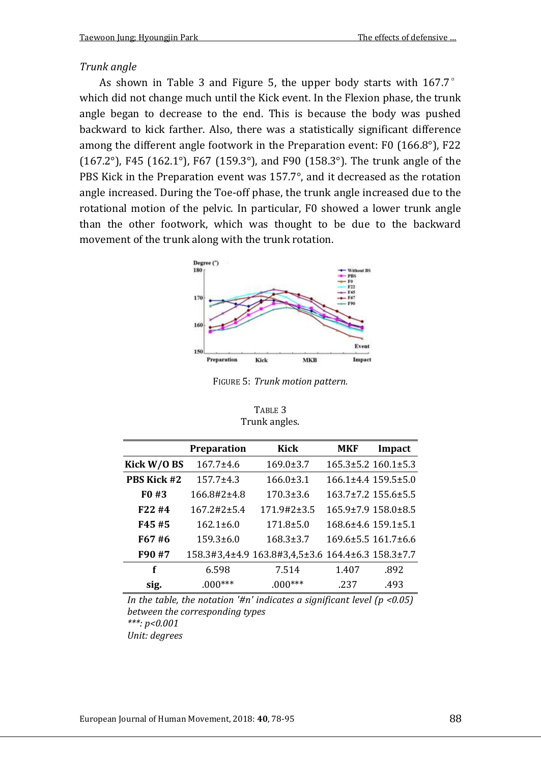#### *Trunk angle*

As shown in Table 3 and Figure 5, the upper body starts with 167.7° which did not change much until the Kick event. In the Flexion phase, the trunk angle began to decrease to the end. This is because the body was pushed backward to kick farther. Also, there was a statistically significant difference among the different angle footwork in the Preparation event: F0 (166.8°), F22 (167.2°), F45 (162.1°), F67 (159.3°), and F90 (158.3°). The trunk angle of the PBS Kick in the Preparation event was 157.7°, and it decreased as the rotation angle increased. During the Toe-off phase, the trunk angle increased due to the rotational motion of the pelvic. In particular, F0 showed a lower trunk angle than the other footwork, which was thought to be due to the backward movement of the trunk along with the trunk rotation.



FIGURE 5: *Trunk motion pattern.*

| TABLE <sub>3</sub> |
|--------------------|
| Trunk angles.      |

|                   | <b>Preparation</b>        | Kick                                              | MKF   | Impact                          |
|-------------------|---------------------------|---------------------------------------------------|-------|---------------------------------|
| Kick W/O BS       | 167.7±4.6                 | $169.0 \pm 3.7$                                   |       | $165.3 \pm 5.2$ $160.1 \pm 5.3$ |
| PBS Kick #2       | $157.7 + 4.3$             | $166.0 \pm 3.1$                                   |       | $166.1\pm4.4$ $159.5\pm5.0$     |
| F <sub>0</sub> #3 | 166.8#2±4.8               | $170.3 \pm 3.6$                                   |       | 163.7±7.2 155.6±5.5             |
| F22 #4            | $167.2 \text{#}2 \pm 5.4$ | $171.9#2 \pm 3.5$                                 |       | 165.9±7.9 158.0±8.5             |
| F45#5             | $162.1 \pm 6.0$           | $171.8 \pm 5.0$                                   |       | $168.6 \pm 4.6$ 159.1 $\pm$ 5.1 |
| F67#6             | $159.3 \pm 6.0$           | $168.3 \pm 3.7$                                   |       | 169.6±5.5 161.7±6.6             |
| F90 #7            |                           | 158.3#3,4±4.9 163.8#3,4,5±3.6 164.4±6.3 158.3±7.7 |       |                                 |
| f                 | 6.598                     | 7.514                                             | 1.407 | .892                            |
| sig.              | $.000***$                 | $.000***$                                         | .237  | .493                            |

*In the table, the notation '#n' indicates a significant level (p <0.05) between the corresponding types \*\*\*: p<0.001*

*Unit: degrees*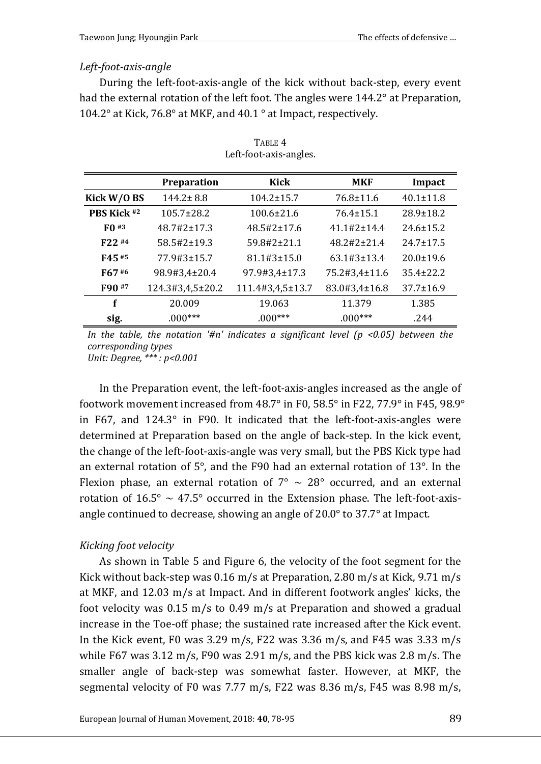### *Left-foot-axis-angle*

During the left-foot-axis-angle of the kick without back-step, every event had the external rotation of the left foot. The angles were 144.2° at Preparation, 104.2° at Kick, 76.8° at MKF, and 40.1 ° at Impact, respectively.

|               | <b>Preparation</b>        | Kick                          | <b>MKF</b>                    | Impact          |
|---------------|---------------------------|-------------------------------|-------------------------------|-----------------|
| Kick $W/0$ BS | $144.2 \pm 8.8$           | $104.2 \pm 15.7$              | $76.8 \pm 11.6$               | $40.1 \pm 11.8$ |
| PBS Kick #2   | $105.7 \pm 28.2$          | $100.6 \pm 21.6$              | $76.4 \pm 15.1$               | $28.9 \pm 18.2$ |
| $F()$ #3      | $48.7 \text{#}2 \pm 17.3$ | $48.5\#2 \pm 17.6$            | $41.1 \# 2 + 14.4$            | $24.6 \pm 15.2$ |
| F22 #4        | $58.5\#2 \pm 19.3$        | $59.8 \text{#}2 \text{+}21.1$ | $48.2 \text{#}2 \text{+}21.4$ | $24.7 \pm 17.5$ |
| F45#5         | 77.9#3±15.7               | $81.1 \text{#}3 \pm 15.0$     | $63.1 \text{#}3 \pm 13.4$     | $20.0 \pm 19.6$ |
| F67#6         | 98.9#3,4±20.4             | 97.9#3,4±17.3                 | 75.2#3,4±11.6                 | $35.4 + 22.2$   |
| F90 #7        | 124.3#3,4,5±20.2          | 111.4#3,4,5±13.7              | 83.0#3,4±16.8                 | $37.7 \pm 16.9$ |
| f             | 20.009                    | 19.063                        | 11.379                        | 1.385           |
| sig.          | $.000***$                 | $.000***$                     | $.000***$                     | .244            |

| TABLE 4                |
|------------------------|
| Left-foot-axis-angles. |

*In the table, the notation '#n' indicates a significant level*  $(p \le 0.05)$  *between the corresponding types Unit: Degree, \*\*\* : p<0.001*

In the Preparation event, the left-foot-axis-angles increased as the angle of footwork movement increased from 48.7° in F0, 58.5° in F22, 77.9° in F45, 98.9° in F67, and 124.3° in F90. It indicated that the left-foot-axis-angles were determined at Preparation based on the angle of back-step. In the kick event, the change of the left-foot-axis-angle was very small, but the PBS Kick type had an external rotation of 5°, and the F90 had an external rotation of 13°. In the Flexion phase, an external rotation of  $7^{\circ} \sim 28^{\circ}$  occurred, and an external rotation of  $16.5^{\circ} \sim 47.5^{\circ}$  occurred in the Extension phase. The left-foot-axisangle continued to decrease, showing an angle of 20.0° to 37.7° at Impact.

## *Kicking foot velocity*

As shown in Table 5 and Figure 6, the velocity of the foot segment for the Kick without back-step was 0.16 m/s at Preparation, 2.80 m/s at Kick, 9.71 m/s at MKF, and 12.03 m/s at Impact. And in different footwork angles' kicks, the foot velocity was 0.15 m/s to 0.49 m/s at Preparation and showed a gradual increase in the Toe-off phase; the sustained rate increased after the Kick event. In the Kick event, F0 was 3.29 m/s, F22 was 3.36 m/s, and F45 was 3.33 m/s while F67 was 3.12 m/s, F90 was 2.91 m/s, and the PBS kick was 2.8 m/s. The smaller angle of back-step was somewhat faster. However, at MKF, the segmental velocity of F0 was 7.77 m/s, F22 was 8.36 m/s, F45 was 8.98 m/s,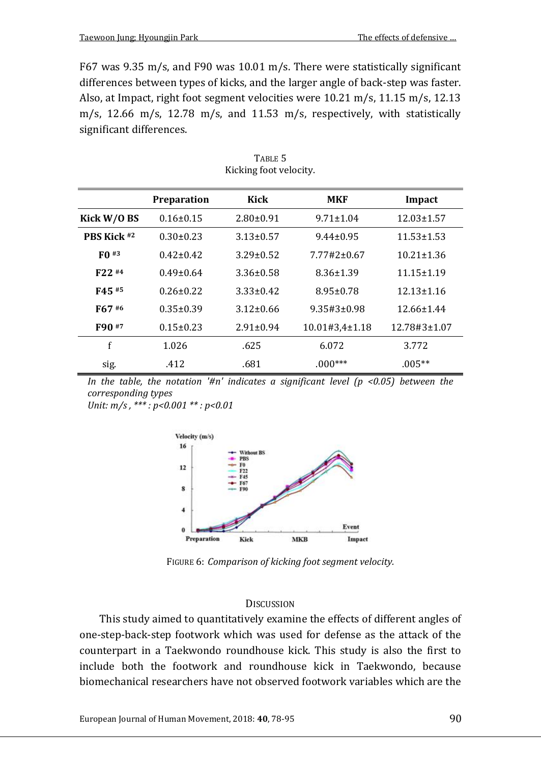F67 was 9.35 m/s, and F90 was 10.01 m/s. There were statistically significant differences between types of kicks, and the larger angle of back-step was faster. Also, at Impact, right foot segment velocities were 10.21 m/s, 11.15 m/s, 12.13 m/s, 12.66 m/s, 12.78 m/s, and 11.53 m/s, respectively, with statistically significant differences.

|                    | Preparation     | Kick            | <b>MKF</b>           | Impact           |
|--------------------|-----------------|-----------------|----------------------|------------------|
| Kick $W/0$ BS      | $0.16 \pm 0.15$ | $2.80 \pm 0.91$ | $9.71 \pm 1.04$      | $12.03 \pm 1.57$ |
| <b>PRS Kick #2</b> | $0.30 \pm 0.23$ | $3.13 \pm 0.57$ | $9.44 \pm 0.95$      | $11.53 \pm 1.53$ |
| $F0$ #3            | $0.42 \pm 0.42$ | $3.29 \pm 0.52$ | $7.77#2 \pm 0.67$    | $10.21 \pm 1.36$ |
| $F22$ #4           | $0.49 + 0.64$   | $3.36 \pm 0.58$ | $8.36 \pm 1.39$      | $11.15 \pm 1.19$ |
| F45#5              | $0.26 + 0.22$   | $3.33 + 0.42$   | $8.95 \pm 0.78$      | $12.13 + 1.16$   |
| F67#6              | $0.35 \pm 0.39$ | $3.12 \pm 0.66$ | $9.35\#3\pm0.98$     | $12.66 \pm 1.44$ |
| F90 <sup>#7</sup>  | $0.15 \pm 0.23$ | $2.91 \pm 0.94$ | $10.01#3.4 \pm 1.18$ | 12.78#3±1.07     |
| f                  | 1.026           | .625            | 6.072                | 3.772            |
| sig.               | .412            | .681            | $.000***$            | $.005**$         |

TABLE 5 Kicking foot velocity.

*In the table, the notation '#n' indicates a significant level*  $(p \lt 0.05)$  *between the corresponding types*

*Unit: m/s , \*\*\* : p<0.001 \*\* : p<0.01*



FIGURE 6: *Comparison of kicking foot segment velocity.*

#### **DISCUSSION**

This study aimed to quantitatively examine the effects of different angles of one-step-back-step footwork which was used for defense as the attack of the counterpart in a Taekwondo roundhouse kick. This study is also the first to include both the footwork and roundhouse kick in Taekwondo, because biomechanical researchers have not observed footwork variables which are the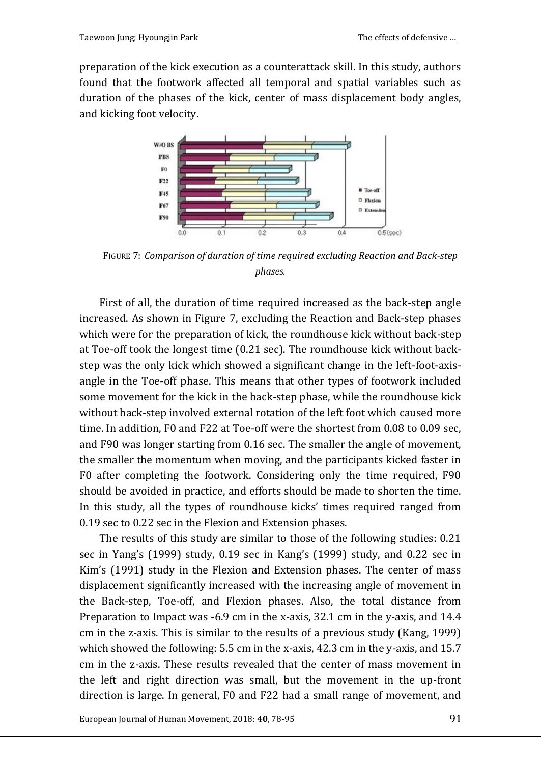preparation of the kick execution as a counterattack skill. In this study, authors found that the footwork affected all temporal and spatial variables such as duration of the phases of the kick, center of mass displacement body angles, and kicking foot velocity.



FIGURE 7: *Comparison of duration of time required excluding Reaction and Back-step phases.*

First of all, the duration of time required increased as the back-step angle increased. As shown in Figure 7, excluding the Reaction and Back-step phases which were for the preparation of kick, the roundhouse kick without back-step at Toe-off took the longest time (0.21 sec). The roundhouse kick without backstep was the only kick which showed a significant change in the left-foot-axisangle in the Toe-off phase. This means that other types of footwork included some movement for the kick in the back-step phase, while the roundhouse kick without back-step involved external rotation of the left foot which caused more time. In addition, F0 and F22 at Toe-off were the shortest from 0.08 to 0.09 sec, and F90 was longer starting from 0.16 sec. The smaller the angle of movement, the smaller the momentum when moving, and the participants kicked faster in F0 after completing the footwork. Considering only the time required, F90 should be avoided in practice, and efforts should be made to shorten the time. In this study, all the types of roundhouse kicks' times required ranged from 0.19 sec to 0.22 sec in the Flexion and Extension phases.

The results of this study are similar to those of the following studies: 0.21 sec in Yang's (1999) study, 0.19 sec in Kang's (1999) study, and 0.22 sec in Kim's (1991) study in the Flexion and Extension phases. The center of mass displacement significantly increased with the increasing angle of movement in the Back-step, Toe-off, and Flexion phases. Also, the total distance from Preparation to Impact was -6.9 cm in the x-axis, 32.1 cm in the y-axis, and 14.4 cm in the z-axis. This is similar to the results of a previous study (Kang, 1999) which showed the following: 5.5 cm in the x-axis, 42.3 cm in the y-axis, and 15.7 cm in the z-axis. These results revealed that the center of mass movement in the left and right direction was small, but the movement in the up-front direction is large. In general, F0 and F22 had a small range of movement, and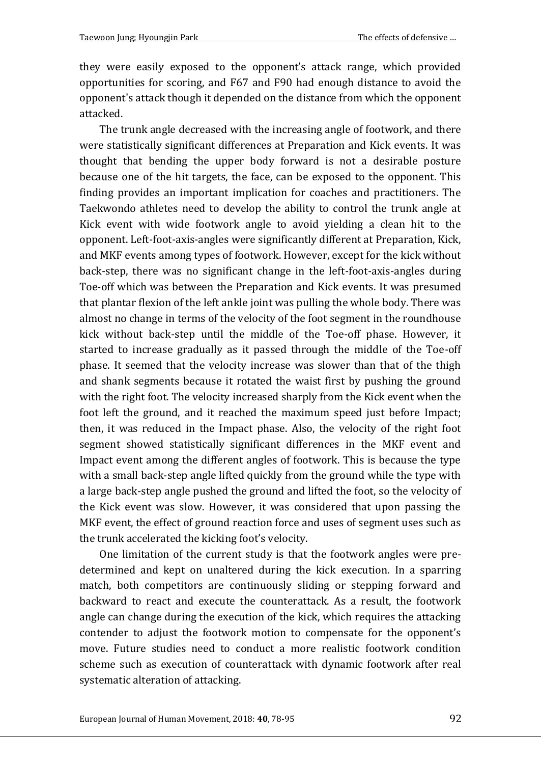they were easily exposed to the opponent's attack range, which provided opportunities for scoring, and F67 and F90 had enough distance to avoid the opponent's attack though it depended on the distance from which the opponent attacked.

The trunk angle decreased with the increasing angle of footwork, and there were statistically significant differences at Preparation and Kick events. It was thought that bending the upper body forward is not a desirable posture because one of the hit targets, the face, can be exposed to the opponent. This finding provides an important implication for coaches and practitioners. The Taekwondo athletes need to develop the ability to control the trunk angle at Kick event with wide footwork angle to avoid yielding a clean hit to the opponent. Left-foot-axis-angles were significantly different at Preparation, Kick, and MKF events among types of footwork. However, except for the kick without back-step, there was no significant change in the left-foot-axis-angles during Toe-off which was between the Preparation and Kick events. It was presumed that plantar flexion of the left ankle joint was pulling the whole body. There was almost no change in terms of the velocity of the foot segment in the roundhouse kick without back-step until the middle of the Toe-off phase. However, it started to increase gradually as it passed through the middle of the Toe-off phase. It seemed that the velocity increase was slower than that of the thigh and shank segments because it rotated the waist first by pushing the ground with the right foot. The velocity increased sharply from the Kick event when the foot left the ground, and it reached the maximum speed just before Impact; then, it was reduced in the Impact phase. Also, the velocity of the right foot segment showed statistically significant differences in the MKF event and Impact event among the different angles of footwork. This is because the type with a small back-step angle lifted quickly from the ground while the type with a large back-step angle pushed the ground and lifted the foot, so the velocity of the Kick event was slow. However, it was considered that upon passing the MKF event, the effect of ground reaction force and uses of segment uses such as the trunk accelerated the kicking foot's velocity.

One limitation of the current study is that the footwork angles were predetermined and kept on unaltered during the kick execution. In a sparring match, both competitors are continuously sliding or stepping forward and backward to react and execute the counterattack. As a result, the footwork angle can change during the execution of the kick, which requires the attacking contender to adjust the footwork motion to compensate for the opponent's move. Future studies need to conduct a more realistic footwork condition scheme such as execution of counterattack with dynamic footwork after real systematic alteration of attacking.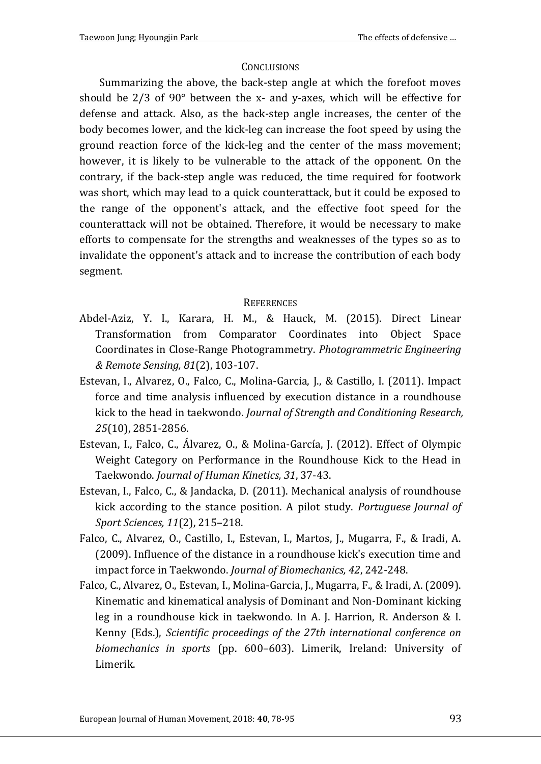## **CONCLUSIONS**

Summarizing the above, the back-step angle at which the forefoot moves should be  $2/3$  of  $90^{\circ}$  between the x- and y-axes, which will be effective for defense and attack. Also, as the back-step angle increases, the center of the body becomes lower, and the kick-leg can increase the foot speed by using the ground reaction force of the kick-leg and the center of the mass movement; however, it is likely to be vulnerable to the attack of the opponent. On the contrary, if the back-step angle was reduced, the time required for footwork was short, which may lead to a quick counterattack, but it could be exposed to the range of the opponent's attack, and the effective foot speed for the counterattack will not be obtained. Therefore, it would be necessary to make efforts to compensate for the strengths and weaknesses of the types so as to invalidate the opponent's attack and to increase the contribution of each body segment.

## **REFERENCES**

- Abdel-Aziz, Y. I., Karara, H. M., & Hauck, M. (2015). Direct Linear Transformation from Comparator Coordinates into Object Space Coordinates in Close-Range Photogrammetry. *Photogrammetric Engineering & Remote Sensing, 81*(2), 103-107.
- Estevan, I., Alvarez, O., Falco, C., Molina-Garcia, J., & Castillo, I. (2011). Impact force and time analysis influenced by execution distance in a roundhouse kick to the head in taekwondo. *Journal of Strength and Conditioning Research, 25*(10), 2851-2856.
- Estevan, I., Falco, C., Álvarez, O., & Molina-García, J. (2012). Effect of Olympic Weight Category on Performance in the Roundhouse Kick to the Head in Taekwondo. *Journal of Human Kinetics, 31*, 37-43.
- Estevan, I., Falco, C., & Jandacka, D. (2011). Mechanical analysis of roundhouse kick according to the stance position. A pilot study. *Portuguese Journal of Sport Sciences, 11*(2), 215–218.
- Falco, C., Alvarez, O., Castillo, I., Estevan, I., Martos, J., Mugarra, F., & Iradi, A. (2009). Influence of the distance in a roundhouse kick's execution time and impact force in Taekwondo. *Journal of Biomechanics, 42*, 242-248.
- Falco, C., Alvarez, O., Estevan, I., Molina-Garcia, J., Mugarra, F., & Iradi, A. (2009). Kinematic and kinematical analysis of Dominant and Non-Dominant kicking leg in a roundhouse kick in taekwondo. In A. J. Harrion, R. Anderson & I. Kenny (Eds.), *Scientific proceedings of the 27th international conference on biomechanics in sports* (pp. 600–603). Limerik, Ireland: University of Limerik.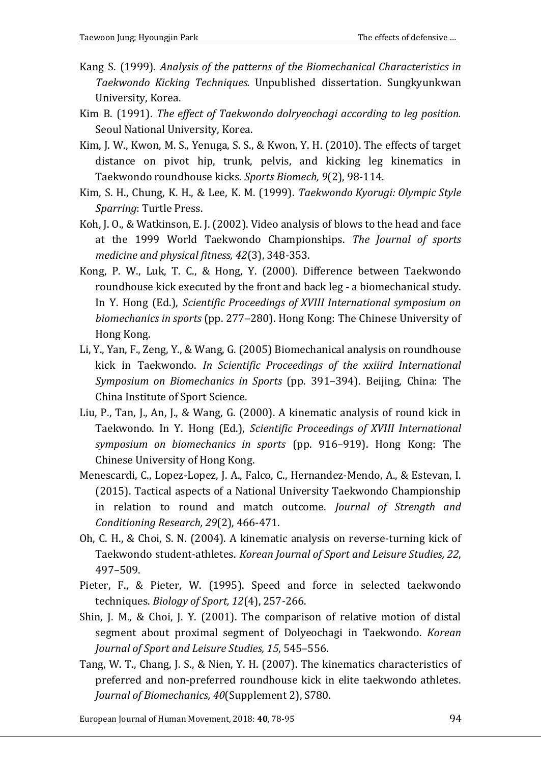- Kang S. (1999). *Analysis of the patterns of the Biomechanical Characteristics in Taekwondo Kicking Techniques.* Unpublished dissertation. Sungkyunkwan University, Korea.
- Kim B. (1991). *The effect of Taekwondo dolryeochagi according to leg position.*  Seoul National University, Korea.
- Kim, J. W., Kwon, M. S., Yenuga, S. S., & Kwon, Y. H. (2010). The effects of target distance on pivot hip, trunk, pelvis, and kicking leg kinematics in Taekwondo roundhouse kicks. *Sports Biomech, 9*(2), 98-114.
- Kim, S. H., Chung, K. H., & Lee, K. M. (1999). *Taekwondo Kyorugi: Olympic Style Sparring*: Turtle Press.
- Koh, J. O., & Watkinson, E. J. (2002). Video analysis of blows to the head and face at the 1999 World Taekwondo Championships. *The Journal of sports medicine and physical fitness, 42*(3), 348-353.
- Kong, P. W., Luk, T. C., & Hong, Y. (2000). Difference between Taekwondo roundhouse kick executed by the front and back leg - a biomechanical study. In Y. Hong (Ed.), *Scientific Proceedings of XVIII International symposium on biomechanics in sports* (pp. 277–280). Hong Kong: The Chinese University of Hong Kong.
- Li, Y., Yan, F., Zeng, Y., & Wang, G. (2005) Biomechanical analysis on roundhouse kick in Taekwondo. *In Scientific Proceedings of the xxiiird International Symposium on Biomechanics in Sports* (pp. 391–394). Beijing, China: The China Institute of Sport Science.
- Liu, P., Tan, J., An, J., & Wang, G. (2000). A kinematic analysis of round kick in Taekwondo. In Y. Hong (Ed.), *Scientific Proceedings of XVIII International symposium on biomechanics in sports* (pp. 916–919). Hong Kong: The Chinese University of Hong Kong.
- Menescardi, C., Lopez-Lopez, J. A., Falco, C., Hernandez-Mendo, A., & Estevan, I. (2015). Tactical aspects of a National University Taekwondo Championship in relation to round and match outcome. *Journal of Strength and Conditioning Research, 29*(2), 466-471.
- Oh, C. H., & Choi, S. N. (2004). A kinematic analysis on reverse-turning kick of Taekwondo student-athletes. *Korean Journal of Sport and Leisure Studies, 22*, 497–509.
- Pieter, F., & Pieter, W. (1995). Speed and force in selected taekwondo techniques. *Biology of Sport, 12*(4), 257-266.
- Shin, J. M., & Choi, J. Y. (2001). The comparison of relative motion of distal segment about proximal segment of Dolyeochagi in Taekwondo. *Korean Journal of Sport and Leisure Studies, 15*, 545–556.
- Tang, W. T., Chang, J. S., & Nien, Y. H. (2007). The kinematics characteristics of preferred and non-preferred roundhouse kick in elite taekwondo athletes. *Journal of Biomechanics, 40*(Supplement 2), S780.